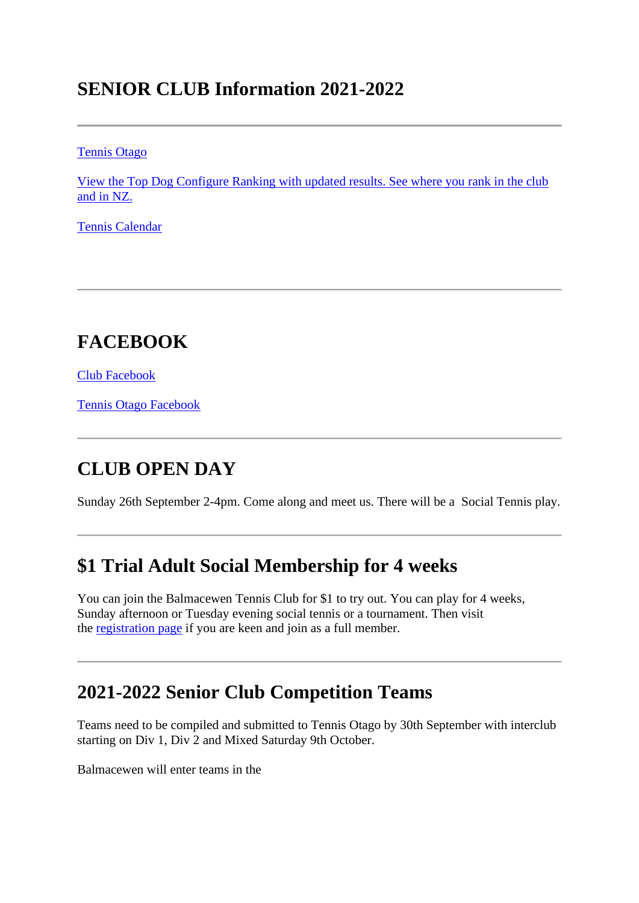## **SENIOR CLUB Information 2021-2022**

[Tennis Otago](http://www.tennisotago.org/)

[View the Top Dog Configure Ranking with updated results. See where you rank in the club](https://tennis.org.nz/)  [and in NZ.](https://tennis.org.nz/)

[Tennis Calendar](http://bit.ly/TennisOtagoCalendar)

# **FACEBOOK**

[Club Facebook](https://www.facebook.com/balmactennis/)

[Tennis Otago Facebook](https://www.facebook.com/tennisotago/)

### **CLUB OPEN DAY**

Sunday 26th September 2-4pm. Come along and meet us. There will be a Social Tennis play.

### **\$1 Trial Adult Social Membership for 4 weeks**

You can join the Balmacewen Tennis Club for \$1 to try out. You can play for 4 weeks, Sunday afternoon or Tuesday evening social tennis or a tournament. Then visit the [registration page](https://balmactennis.co.nz/register/individual/) if you are keen and join as a full member.

### **2021-2022 Senior Club Competition Teams**

Teams need to be compiled and submitted to Tennis Otago by 30th September with interclub starting on Div 1, Div 2 and Mixed Saturday 9th October.

Balmacewen will enter teams in the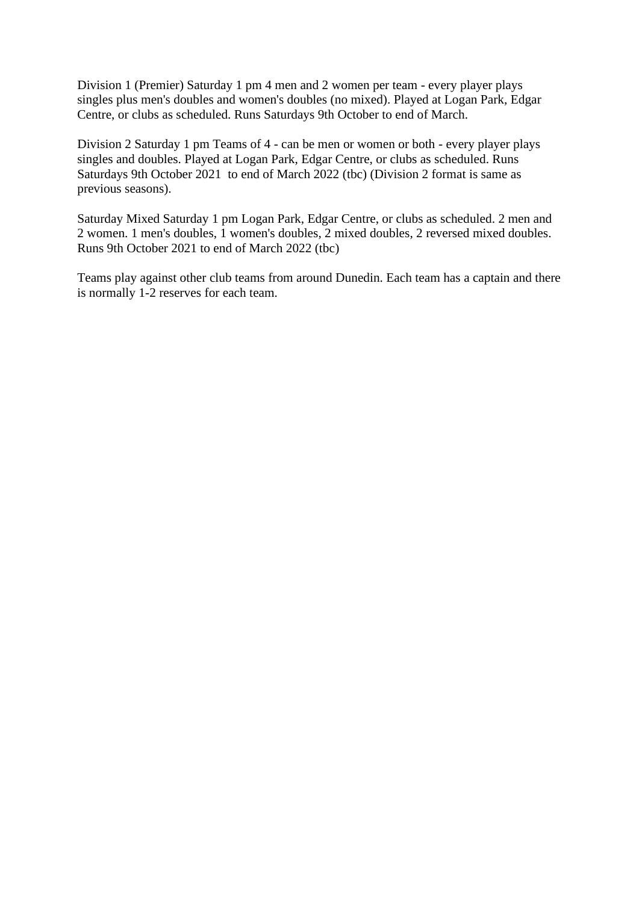Division 1 (Premier) Saturday 1 pm 4 men and 2 women per team - every player plays singles plus men's doubles and women's doubles (no mixed). Played at Logan Park, Edgar Centre, or clubs as scheduled. Runs Saturdays 9th October to end of March.

Division 2 Saturday 1 pm Teams of 4 - can be men or women or both - every player plays singles and doubles. Played at Logan Park, Edgar Centre, or clubs as scheduled. Runs Saturdays 9th October 2021 to end of March 2022 (tbc) (Division 2 format is same as previous seasons).

Saturday Mixed Saturday 1 pm Logan Park, Edgar Centre, or clubs as scheduled. 2 men and 2 women. 1 men's doubles, 1 women's doubles, 2 mixed doubles, 2 reversed mixed doubles. Runs 9th October 2021 to end of March 2022 (tbc)

Teams play against other club teams from around Dunedin. Each team has a captain and there is normally 1-2 reserves for each team.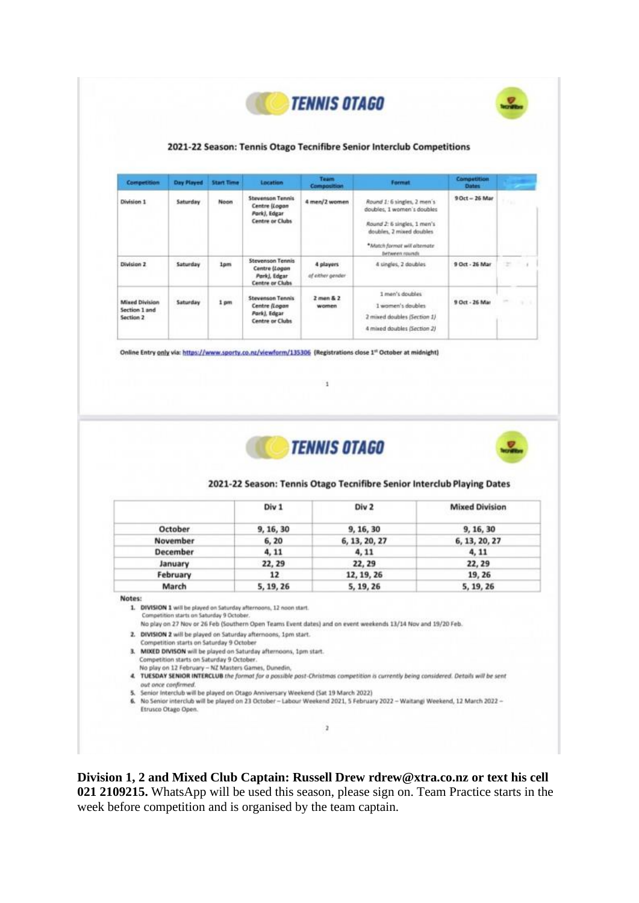



#### 2021-22 Season: Tennis Otago Tecnifibre Senior Interclub Competitions

| <b>Competition</b>                                  | Day Played | <b>Start Time</b> | <b>Location</b>                                                                    | Team<br><b>Composition</b>    | <b>Format</b>                                                                                                                                                           | <b>Competition</b><br><b>Dates</b> |                                           |
|-----------------------------------------------------|------------|-------------------|------------------------------------------------------------------------------------|-------------------------------|-------------------------------------------------------------------------------------------------------------------------------------------------------------------------|------------------------------------|-------------------------------------------|
| Division 1                                          | Saturday   | <b>Noon</b>       | <b>Stevenson Tennis</b><br>Centre (Logan<br>Pork), Edgar<br><b>Centre or Clubs</b> | 4 men/2 women                 | Round 1: 6 singles, 2 men's<br>doubles, 1 women's doubles<br>Round 2: 6 singles, 1 men's<br>doubles, 2 mixed doubles.<br>*Match format will alternate<br>between rounds | 9 Oct - 26 Mar                     | n                                         |
| Division 2                                          | Saturday   | 1pm               | <b>Stevenson Tennis</b><br>Centre (Logan<br>Park), Edgar<br><b>Centre or Clubs</b> | 4 players<br>of either gender | 4 singles, 2 doubles                                                                                                                                                    | 9 Oct - 26 Mar                     | ÷                                         |
| <b>Mixed Division</b><br>Section 1 and<br>Section 2 | Saturday   | 1 pm              | <b>Stevenson Tennis</b><br>Centre (Logan<br>Pork), Edgar<br><b>Centre or Clubs</b> | $2$ man & $2$<br>women        | 1 men's doubles<br>1 women's doubles<br>2 mixed doubles (Section 1)<br>4 mixed doubles (Section 2)                                                                      | 9 Oct - 26 Mar                     | $\overline{\phantom{a}}$<br><b>SILLER</b> |

Online Entry only via: https://www.sporty.co.nz/viewform/135306 (Registrations close 1<sup>st</sup> October at midnight)



x



#### 2021-22 Season: Tennis Otago Tecnifibre Senior Interclub Playing Dates

|                 | Div 1<br>1971 - AL 972 | Div <sub>2</sub><br>10 O.H. 10 O | <b>Mixed Division</b> |
|-----------------|------------------------|----------------------------------|-----------------------|
| October         | 9, 16, 30              | 9, 16, 30                        | 9, 16, 30             |
| November        | 6, 20                  | 6, 13, 20, 27                    | 6, 13, 20, 27         |
| <b>December</b> | 4, 11                  | 4, 11                            | 4, 11                 |
| January         | 22, 29                 | 22, 29                           | 22, 29                |
| February        | 12                     | 12, 19, 26                       | 19, 26                |
| March           | 5, 19, 26              | 5, 19, 26                        | 5, 19, 26             |

Notes:

1. DIVISION 1 will be played on Saturday afternoons, 12 noon start. Competition starts on Saturday 9 October.

No play on 27 Nov or 26 Feb (Southern Open Teams Event dates) and on event weekends 13/14 Nov and 19/20 Feb.

- 2. DIVISION 2 will be played on Saturday afternoons, 1pm start.
- Competition starts on Saturday 9 October 3. MIXED DIVISON will be played on Saturday afternoons, 1pm start.
- Competition starts on Saturday 9 October.
- No play on 12 February NZ Masters Games, Dunedin,
- 4. TUESDAY SENIOR INTERCLUB the format for a possible post-Christmas competition is currently being considered. Details will be sent out once confirmed. 5. Senior Interclub will be played on Otago Anniversary Weekend (Sat 19 March 2022)

 $\overline{\mathbf{z}}$ 

- 6. No Senior interclub will be played on 23 October Labour Weekend 2021, 5 February 2022 Waitangi Weekend, 12 March 2022 -
	- Etrusco Otago Open.

**Division 1, 2 and Mixed Club Captain: Russell Drew rdrew@xtra.co.nz or text his cell 021 2109215.** WhatsApp will be used this season, please sign on. Team Practice starts in the week before competition and is organised by the team captain.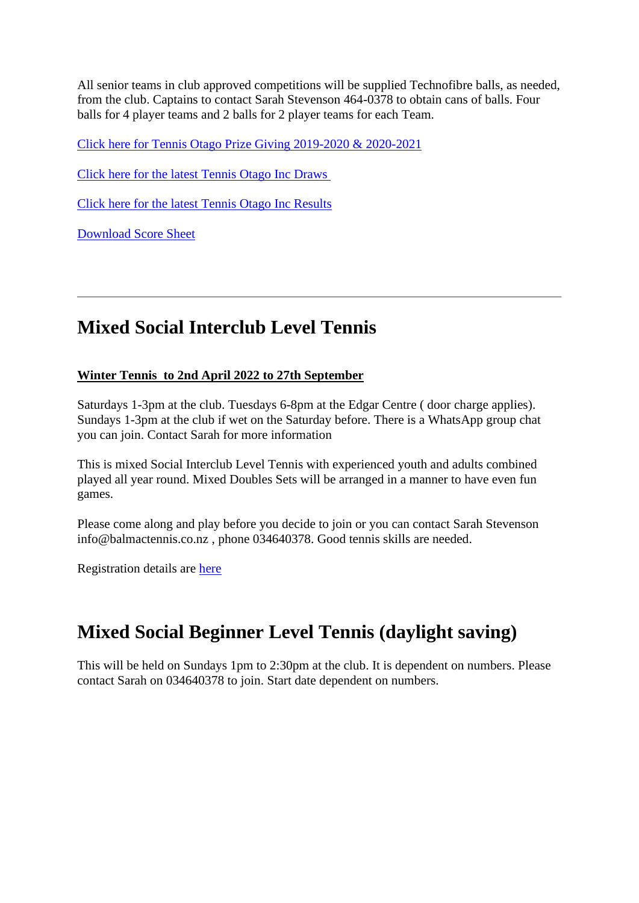All senior teams in club approved competitions will be supplied Technofibre balls, as needed, from the club. Captains to contact Sarah Stevenson 464-0378 to obtain cans of balls. Four balls for 4 player teams and 2 balls for 2 player teams for each Team.

[Click here for Tennis Otago Prize Giving 2019-2020 & 2020-2021](https://balmactennis.co.nz/news/tennis-otago-results/)

Click here [for the latest Tennis Otago Inc Draws](http://www.tennisotago.org/competitions/draws/juniors/)

[Click here for the latest Tennis Otago Inc Results](http://www.tennisotago.org/competitions/results/)

[Download Score Sheet](https://balmactennis.co.nz/assets/Uploads/63241466d3/DUNEDIN-JUNIOR-INTERCLUB-SCORE-SHEET-2016-17-season.pdf)

#### **Mixed Social Interclub Level Tennis**

#### **Winter Tennis to 2nd April 2022 to 27th September**

Saturdays 1-3pm at the club. Tuesdays 6-8pm at the Edgar Centre ( door charge applies). Sundays 1-3pm at the club if wet on the Saturday before. There is a WhatsApp group chat you can join. Contact Sarah for more information

This is mixed Social Interclub Level Tennis with experienced youth and adults combined played all year round. Mixed Doubles Sets will be arranged in a manner to have even fun games.

Please come along and play before you decide to join or you can contact Sarah Stevenson info@balmactennis.co.nz , phone 034640378. Good tennis skills are needed.

Registration details are [here](https://balmactennis.co.nz/register/individual/)

### **Mixed Social Beginner Level Tennis (daylight saving)**

This will be held on Sundays 1pm to 2:30pm at the club. It is dependent on numbers. Please contact Sarah on 034640378 to join. Start date dependent on numbers.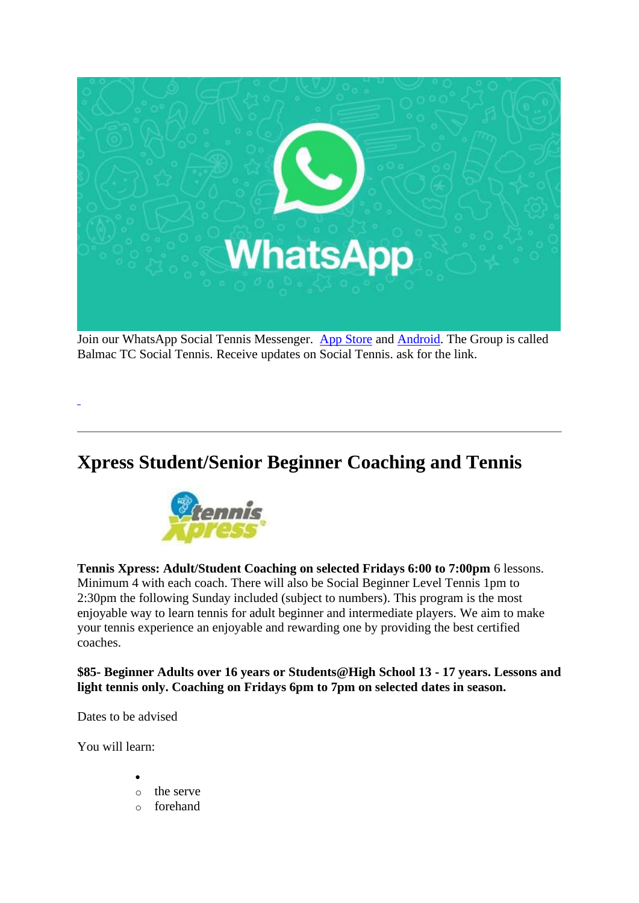

Join our WhatsApp Social Tennis Messenger. [App Store](https://apps.apple.com/nz/app/whatsapp-messenger/id310633997) and [Android.](https://www.whatsapp.com/android/) The Group is called Balmac TC Social Tennis. Receive updates on Social Tennis. ask for the link[.](https://chat.whatsapp.com/IfNfs76gRyKLy5FK0WRgTU)

# **Xpress Student/Senior Beginner Coaching and Tennis**



**Tennis Xpress: Adult/Student Coaching on selected Fridays 6:00 to 7:00pm** 6 lessons. Minimum 4 with each coach. There will also be Social Beginner Level Tennis 1pm to 2:30pm the following Sunday included (subject to numbers). This program is the most enjoyable way to learn tennis for adult beginner and intermediate players. We aim to make your tennis experience an enjoyable and rewarding one by providing the best certified coaches.

**\$85- Beginner Adults over 16 years or Students@High School 13 - 17 years. Lessons and light tennis only. Coaching on Fridays 6pm to 7pm on selected dates in season.**

Dates to be advised

You will learn:

- •
- o the serve
- o forehand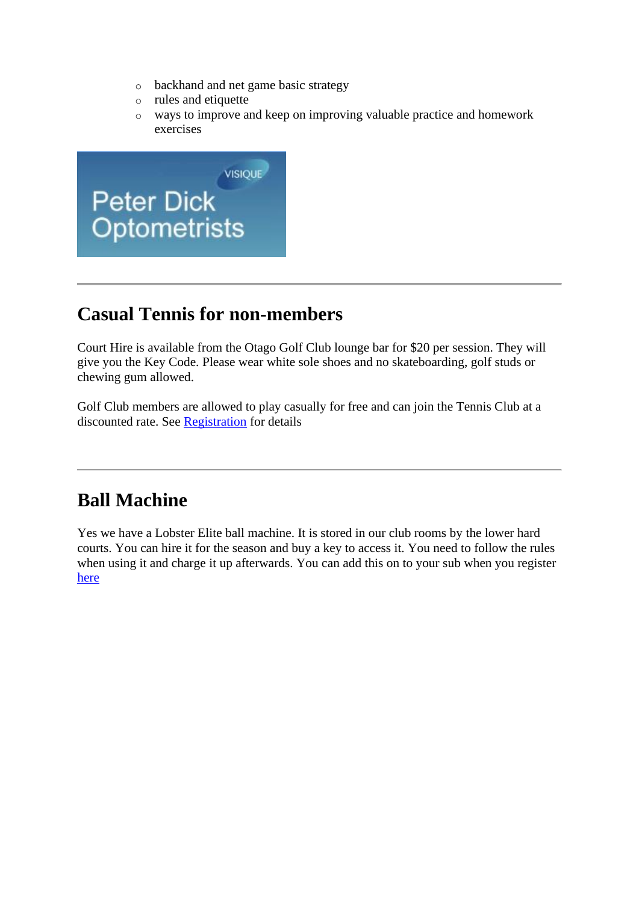- o backhand and net game basic strategy
- o rules and etiquette
- o ways to improve and keep on improving valuable practice and homework exercises



# **Casual Tennis for non-members**

Court Hire is available from the Otago Golf Club lounge bar for \$20 per session. They will give you the Key Code. Please wear white sole shoes and no skateboarding, golf studs or chewing gum allowed.

Golf Club members are allowed to play casually for free and can join the Tennis Club at a discounted rate. See [Registration](https://balmactennis.co.nz/register/individual/) for details

# **Ball Machine**

Yes we have a Lobster Elite ball machine. It is stored in our club rooms by the lower hard courts. You can hire it for the season and buy a key to access it. You need to follow the rules when using it and charge it up afterwards. You can add this on to your sub when you register [here](https://balmactennis.co.nz/register/individual/)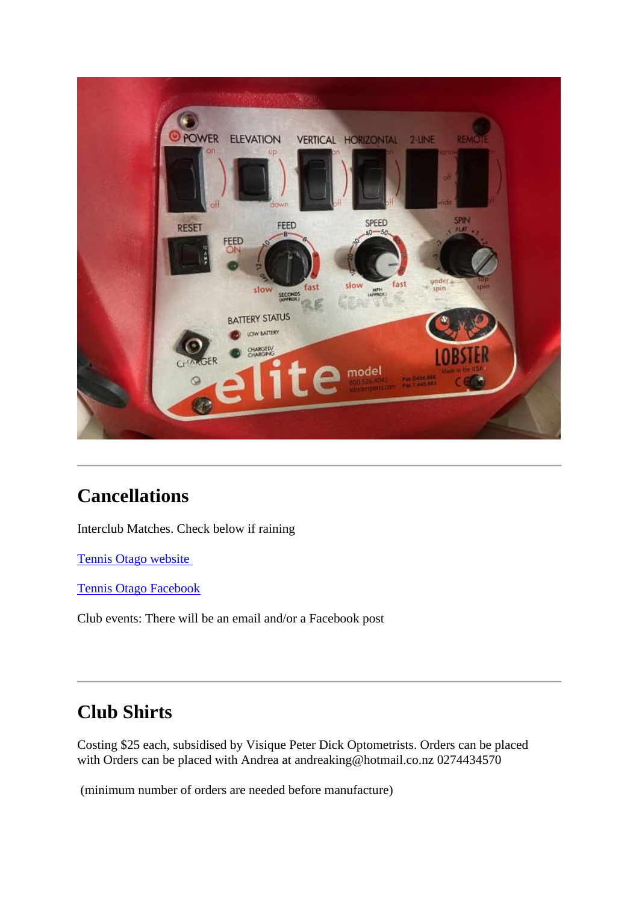

# **Cancellations**

Interclub Matches. Check below if raining

[Tennis Otago website](http://www.tennisotago.org/)

[Tennis Otago Facebook](https://www.facebook.com/tennisotago/)

Club events: There will be an email and/or a Facebook post

# **Club Shirts**

Costing \$25 each, subsidised by Visique Peter Dick Optometrists. Orders can be placed with Orders can be placed with Andrea at andreaking@hotmail.co.nz 0274434570

(minimum number of orders are needed before manufacture)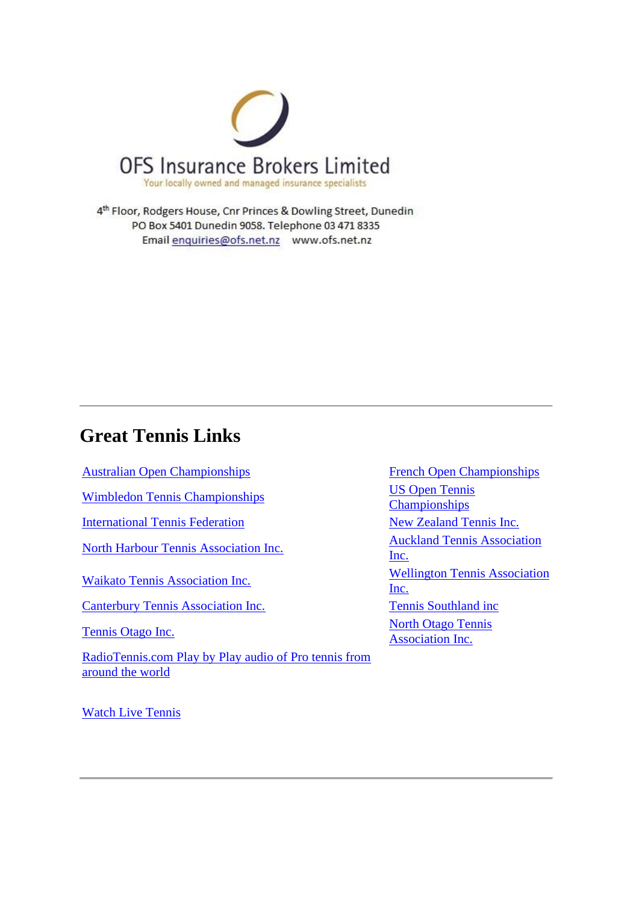

4th Floor, Rodgers House, Cnr Princes & Dowling Street, Dunedin PO Box 5401 Dunedin 9058. Telephone 03 471 8335 Email enquiries@ofs.net.nz www.ofs.net.nz

# **Great Tennis Links**

[Australian Open Championships](http://www.ausopen.org/) [French Open Championships](http://www.frenchopen.org/) French Open Championships

[Wimbledon Tennis Championships](http://www.wimbledon.com/) [US Open Tennis](http://www.usopen.org/) 

[International Tennis Federation](http://www.itftennis.com/) [New Zealand Tennis Inc.](http://www.tennisnz.com/)

[Canterbury Tennis Association Inc.](http://www.canterburytennis.co.nz/) [Tennis Southland inc](http://www.tennissouthland.co.nz/)

[RadioTennis.com Play by Play audio of Pro tennis from](http://www.radiotennis.com/)  [around the world](http://www.radiotennis.com/)

[Championships](http://www.usopen.org/) [North Harbour Tennis Association Inc.](http://www.tennisnh.net.nz/) [Inc.](http://www.aucklandtennis.co.nz/) [Waikato Tennis Association Inc.](http://www.waikatotennis.co.nz/) Wellington Tennis Association [Inc.](http://www.wellingtontennis.org.nz/) [Tennis Otago Inc.](http://www.tennisotago.org/) North Otago Tennis [Association Inc.](http://www.intersportsnet.com/clublink/clubs/75/index.htm)

[Watch Live Tennis](http://www.watchlivetennis.org/)